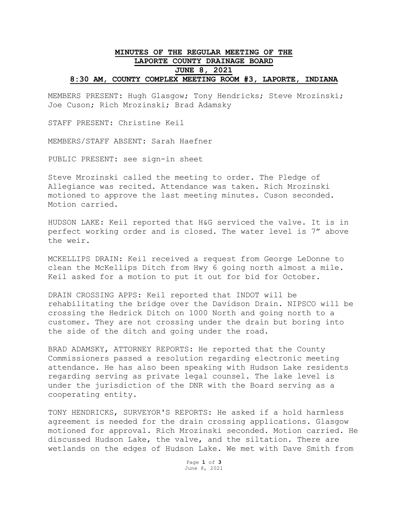## **MINUTES OF THE REGULAR MEETING OF THE LAPORTE COUNTY DRAINAGE BOARD JUNE 8, 2021 8:30 AM, COUNTY COMPLEX MEETING ROOM #3, LAPORTE, INDIANA**

MEMBERS PRESENT: Hugh Glasgow; Tony Hendricks; Steve Mrozinski; Joe Cuson; Rich Mrozinski; Brad Adamsky

STAFF PRESENT: Christine Keil

MEMBERS/STAFF ABSENT: Sarah Haefner

PUBLIC PRESENT: see sign-in sheet

Steve Mrozinski called the meeting to order. The Pledge of Allegiance was recited. Attendance was taken. Rich Mrozinski motioned to approve the last meeting minutes. Cuson seconded. Motion carried.

HUDSON LAKE: Keil reported that H&G serviced the valve. It is in perfect working order and is closed. The water level is 7" above the weir.

MCKELLIPS DRAIN: Keil received a request from George LeDonne to clean the McKellips Ditch from Hwy 6 going north almost a mile. Keil asked for a motion to put it out for bid for October.

DRAIN CROSSING APPS: Keil reported that INDOT will be rehabilitating the bridge over the Davidson Drain. NIPSCO will be crossing the Hedrick Ditch on 1000 North and going north to a customer. They are not crossing under the drain but boring into the side of the ditch and going under the road.

BRAD ADAMSKY, ATTORNEY REPORTS: He reported that the County Commissioners passed a resolution regarding electronic meeting attendance. He has also been speaking with Hudson Lake residents regarding serving as private legal counsel. The lake level is under the jurisdiction of the DNR with the Board serving as a cooperating entity.

TONY HENDRICKS, SURVEYOR'S REPORTS: He asked if a hold harmless agreement is needed for the drain crossing applications. Glasgow motioned for approval. Rich Mrozinski seconded. Motion carried. He discussed Hudson Lake, the valve, and the siltation. There are wetlands on the edges of Hudson Lake. We met with Dave Smith from

> Page **1** of **3** June 8, 2021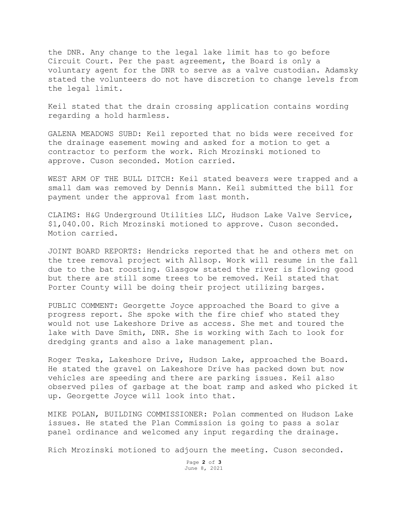the DNR. Any change to the legal lake limit has to go before Circuit Court. Per the past agreement, the Board is only a voluntary agent for the DNR to serve as a valve custodian. Adamsky stated the volunteers do not have discretion to change levels from the legal limit.

Keil stated that the drain crossing application contains wording regarding a hold harmless.

GALENA MEADOWS SUBD: Keil reported that no bids were received for the drainage easement mowing and asked for a motion to get a contractor to perform the work. Rich Mrozinski motioned to approve. Cuson seconded. Motion carried.

WEST ARM OF THE BULL DITCH: Keil stated beavers were trapped and a small dam was removed by Dennis Mann. Keil submitted the bill for payment under the approval from last month.

CLAIMS: H&G Underground Utilities LLC, Hudson Lake Valve Service, \$1,040.00. Rich Mrozinski motioned to approve. Cuson seconded. Motion carried.

JOINT BOARD REPORTS: Hendricks reported that he and others met on the tree removal project with Allsop. Work will resume in the fall due to the bat roosting. Glasgow stated the river is flowing good but there are still some trees to be removed. Keil stated that Porter County will be doing their project utilizing barges.

PUBLIC COMMENT: Georgette Joyce approached the Board to give a progress report. She spoke with the fire chief who stated they would not use Lakeshore Drive as access. She met and toured the lake with Dave Smith, DNR. She is working with Zach to look for dredging grants and also a lake management plan.

Roger Teska, Lakeshore Drive, Hudson Lake, approached the Board. He stated the gravel on Lakeshore Drive has packed down but now vehicles are speeding and there are parking issues. Keil also observed piles of garbage at the boat ramp and asked who picked it up. Georgette Joyce will look into that.

MIKE POLAN, BUILDING COMMISSIONER: Polan commented on Hudson Lake issues. He stated the Plan Commission is going to pass a solar panel ordinance and welcomed any input regarding the drainage.

Rich Mrozinski motioned to adjourn the meeting. Cuson seconded.